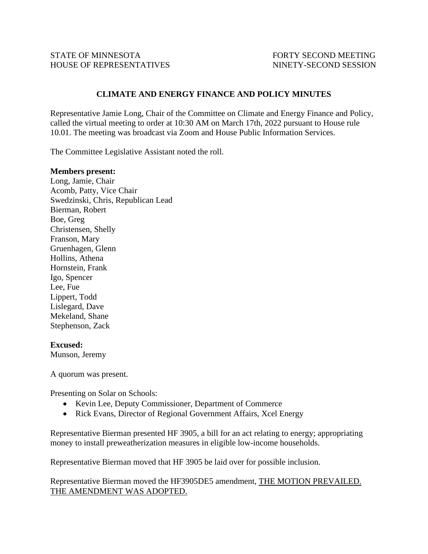## **CLIMATE AND ENERGY FINANCE AND POLICY MINUTES**

Representative Jamie Long, Chair of the Committee on Climate and Energy Finance and Policy, called the virtual meeting to order at 10:30 AM on March 17th, 2022 pursuant to House rule 10.01. The meeting was broadcast via Zoom and House Public Information Services.

The Committee Legislative Assistant noted the roll.

## **Members present:**

Long, Jamie, Chair Acomb, Patty, Vice Chair Swedzinski, Chris, Republican Lead Bierman, Robert Boe, Greg Christensen, Shelly Franson, Mary Gruenhagen, Glenn Hollins, Athena Hornstein, Frank Igo, Spencer Lee, Fue Lippert, Todd Lislegard, Dave Mekeland, Shane Stephenson, Zack

## **Excused:**

Munson, Jeremy

A quorum was present.

Presenting on Solar on Schools:

- Kevin Lee, Deputy Commissioner, Department of Commerce
- Rick Evans, Director of Regional Government Affairs, Xcel Energy

Representative Bierman presented HF 3905, a bill for an act relating to energy; appropriating money to install preweatherization measures in eligible low-income households.

Representative Bierman moved that HF 3905 be laid over for possible inclusion.

Representative Bierman moved the HF3905DE5 amendment, THE MOTION PREVAILED. THE AMENDMENT WAS ADOPTED.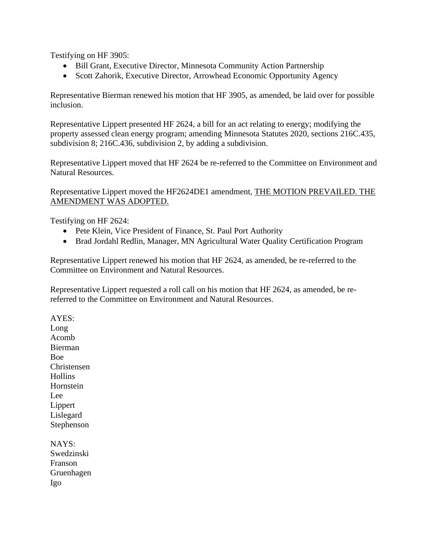Testifying on HF 3905:

- Bill Grant, Executive Director, Minnesota Community Action Partnership
- Scott Zahorik, Executive Director, Arrowhead Economic Opportunity Agency

Representative Bierman renewed his motion that HF 3905, as amended, be laid over for possible inclusion.

Representative Lippert presented HF 2624, a bill for an act relating to energy; modifying the property assessed clean energy program; amending Minnesota Statutes 2020, sections 216C.435, subdivision 8; 216C.436, subdivision 2, by adding a subdivision.

Representative Lippert moved that HF 2624 be re-referred to the Committee on Environment and Natural Resources.

Representative Lippert moved the HF2624DE1 amendment, THE MOTION PREVAILED. THE AMENDMENT WAS ADOPTED.

Testifying on HF 2624:

- Pete Klein, Vice President of Finance, St. Paul Port Authority
- Brad Jordahl Redlin, Manager, MN Agricultural Water Quality Certification Program

Representative Lippert renewed his motion that HF 2624, as amended, be re-referred to the Committee on Environment and Natural Resources.

Representative Lippert requested a roll call on his motion that HF 2624, as amended, be rereferred to the Committee on Environment and Natural Resources.

AYES: Long Acomb Bierman Boe Christensen **Hollins Hornstein** Lee Lippert Lislegard Stephenson NAYS: Swedzinski

Franson Gruenhagen Igo